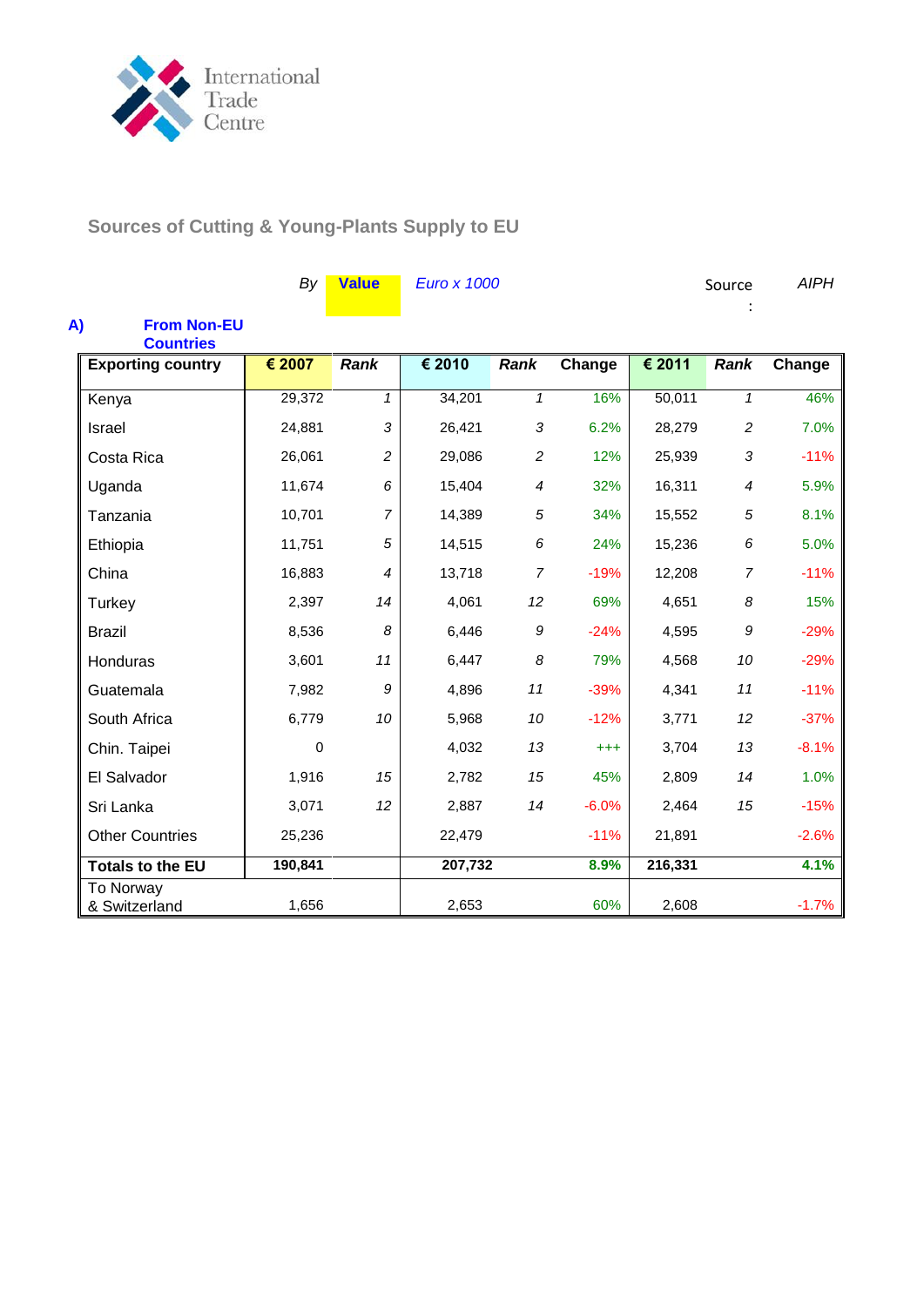

**Sources of Cutting & Young-Plants Supply to EU**

|                                              | By      | <b>Value</b>   | <b>Euro x 1000</b> |                          |          |         | Source         | <b>AIPH</b> |
|----------------------------------------------|---------|----------------|--------------------|--------------------------|----------|---------|----------------|-------------|
| A)<br><b>From Non-EU</b><br><b>Countries</b> |         |                |                    |                          |          |         |                |             |
| <b>Exporting country</b>                     | € 2007  | <b>Rank</b>    | € 2010             | <b>Rank</b>              | Change   | € 2011  | <b>Rank</b>    | Change      |
| Kenya                                        | 29,372  | $\mathbf{1}$   | 34,201             | $\mathbf{1}$             | 16%      | 50,011  | $\mathbf{1}$   | 46%         |
| <b>Israel</b>                                | 24,881  | 3              | 26,421             | 3                        | 6.2%     | 28,279  | $\overline{c}$ | 7.0%        |
| Costa Rica                                   | 26,061  | $\overline{c}$ | 29,086             | 2                        | 12%      | 25,939  | 3              | $-11%$      |
| Uganda                                       | 11,674  | 6              | 15,404             | $\overline{\mathcal{A}}$ | 32%      | 16,311  | $\overline{4}$ | 5.9%        |
| Tanzania                                     | 10,701  | $\overline{7}$ | 14,389             | 5                        | 34%      | 15,552  | 5              | 8.1%        |
| Ethiopia                                     | 11,751  | 5              | 14,515             | 6                        | 24%      | 15,236  | 6              | 5.0%        |
| China                                        | 16,883  | $\overline{4}$ | 13,718             | $\overline{7}$           | $-19%$   | 12,208  | $\overline{7}$ | $-11%$      |
| Turkey                                       | 2,397   | 14             | 4,061              | 12                       | 69%      | 4,651   | 8              | 15%         |
| <b>Brazil</b>                                | 8,536   | 8              | 6,446              | $\boldsymbol{9}$         | $-24%$   | 4,595   | 9              | $-29%$      |
| Honduras                                     | 3,601   | 11             | 6,447              | 8                        | 79%      | 4,568   | 10             | $-29%$      |
| Guatemala                                    | 7,982   | 9              | 4,896              | 11                       | $-39%$   | 4,341   | 11             | $-11%$      |
| South Africa                                 | 6,779   | 10             | 5,968              | 10                       | $-12%$   | 3,771   | 12             | $-37%$      |
| Chin. Taipei                                 | 0       |                | 4,032              | 13                       | $^{+++}$ | 3,704   | 13             | $-8.1%$     |
| El Salvador                                  | 1,916   | 15             | 2,782              | 15                       | 45%      | 2,809   | 14             | 1.0%        |
| Sri Lanka                                    | 3,071   | 12             | 2,887              | 14                       | $-6.0%$  | 2,464   | 15             | $-15%$      |
| <b>Other Countries</b>                       | 25,236  |                | 22,479             |                          | $-11%$   | 21,891  |                | $-2.6%$     |
| <b>Totals to the EU</b>                      | 190,841 |                | 207,732            |                          | 8.9%     | 216,331 |                | 4.1%        |
| To Norway<br>& Switzerland                   | 1,656   |                | 2,653              |                          | 60%      | 2,608   |                | $-1.7%$     |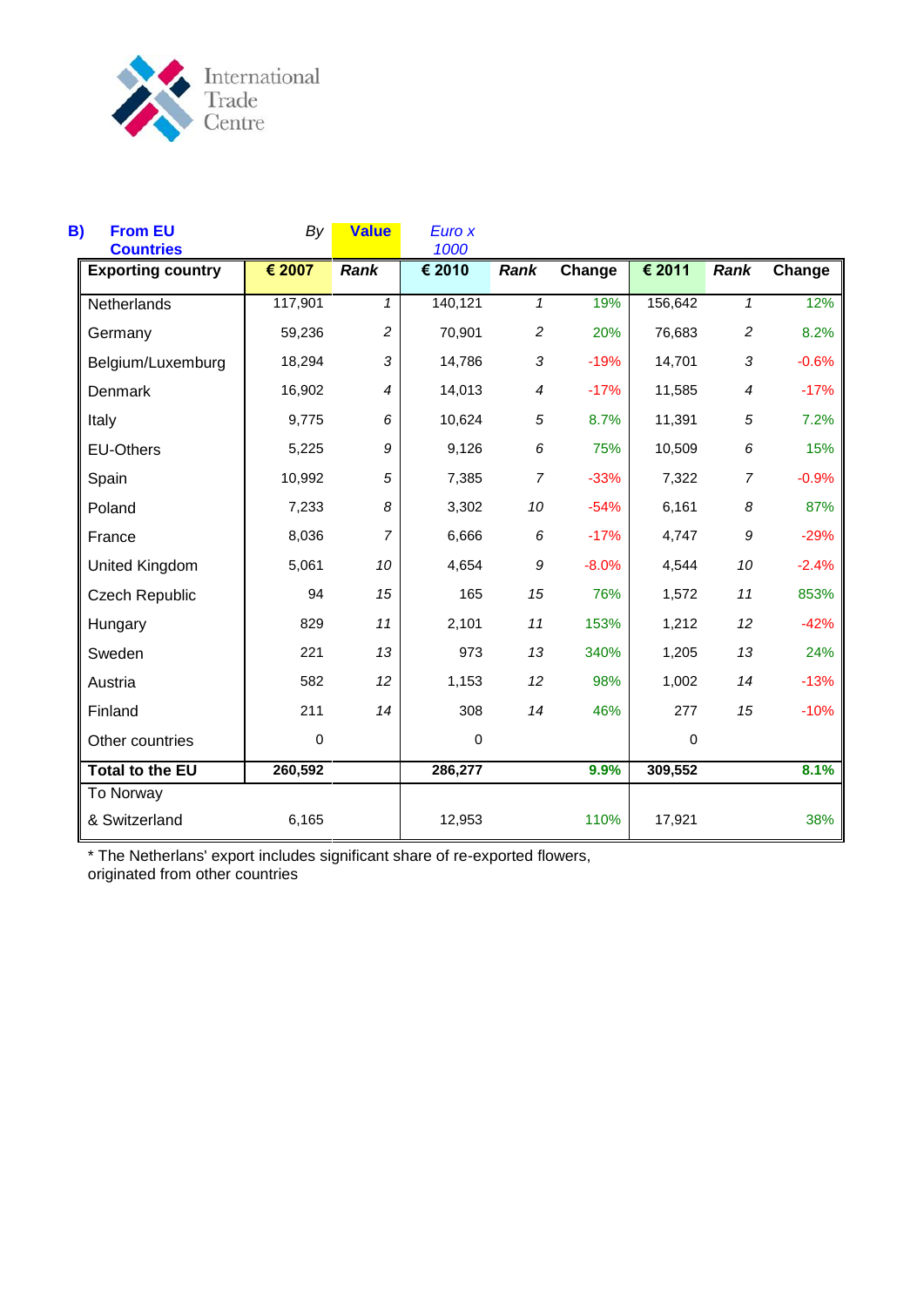

| B)<br><b>From EU</b><br><b>Countries</b> | By      | <b>Value</b>   | Euro x<br>1000 |                  |         |             |                |         |
|------------------------------------------|---------|----------------|----------------|------------------|---------|-------------|----------------|---------|
| <b>Exporting country</b>                 | € 2007  | Rank           | € 2010         | <b>Rank</b>      | Change  | € 2011      | <b>Rank</b>    | Change  |
| Netherlands                              | 117,901 | $\mathbf{1}$   | 140,121        | $\mathbf{1}$     | 19%     | 156,642     | $\mathbf{1}$   | 12%     |
| Germany                                  | 59,236  | $\overline{c}$ | 70,901         | $\overline{c}$   | 20%     | 76,683      | $\overline{c}$ | 8.2%    |
| Belgium/Luxemburg                        | 18,294  | $\sqrt{3}$     | 14,786         | 3                | $-19%$  | 14,701      | 3              | $-0.6%$ |
| Denmark                                  | 16,902  | $\overline{4}$ | 14,013         | 4                | $-17%$  | 11,585      | 4              | $-17%$  |
| Italy                                    | 9,775   | 6              | 10,624         | 5                | 8.7%    | 11,391      | 5              | 7.2%    |
| <b>EU-Others</b>                         | 5,225   | 9              | 9,126          | 6                | 75%     | 10,509      | 6              | 15%     |
| Spain                                    | 10,992  | 5              | 7,385          | $\overline{7}$   | $-33%$  | 7,322       | $\overline{7}$ | $-0.9%$ |
| Poland                                   | 7,233   | 8              | 3,302          | 10               | $-54%$  | 6,161       | 8              | 87%     |
| France                                   | 8,036   | $\overline{7}$ | 6,666          | $\boldsymbol{6}$ | $-17%$  | 4,747       | 9              | $-29%$  |
| United Kingdom                           | 5,061   | 10             | 4,654          | 9                | $-8.0%$ | 4,544       | 10             | $-2.4%$ |
| <b>Czech Republic</b>                    | 94      | 15             | 165            | 15               | 76%     | 1,572       | 11             | 853%    |
| Hungary                                  | 829     | 11             | 2,101          | 11               | 153%    | 1,212       | 12             | $-42%$  |
| Sweden                                   | 221     | 13             | 973            | 13               | 340%    | 1,205       | 13             | 24%     |
| Austria                                  | 582     | 12             | 1,153          | 12               | 98%     | 1,002       | 14             | $-13%$  |
| Finland                                  | 211     | 14             | 308            | 14               | 46%     | 277         | 15             | $-10%$  |
| Other countries                          | 0       |                | $\mathbf 0$    |                  |         | $\mathbf 0$ |                |         |
| <b>Total to the EU</b>                   | 260,592 |                | 286,277        |                  | 9.9%    | 309,552     |                | 8.1%    |
| To Norway<br>& Switzerland               | 6,165   |                | 12,953         |                  | 110%    | 17,921      |                | 38%     |

\* The Netherlans' export includes significant share of re-exported flowers, originated from other countries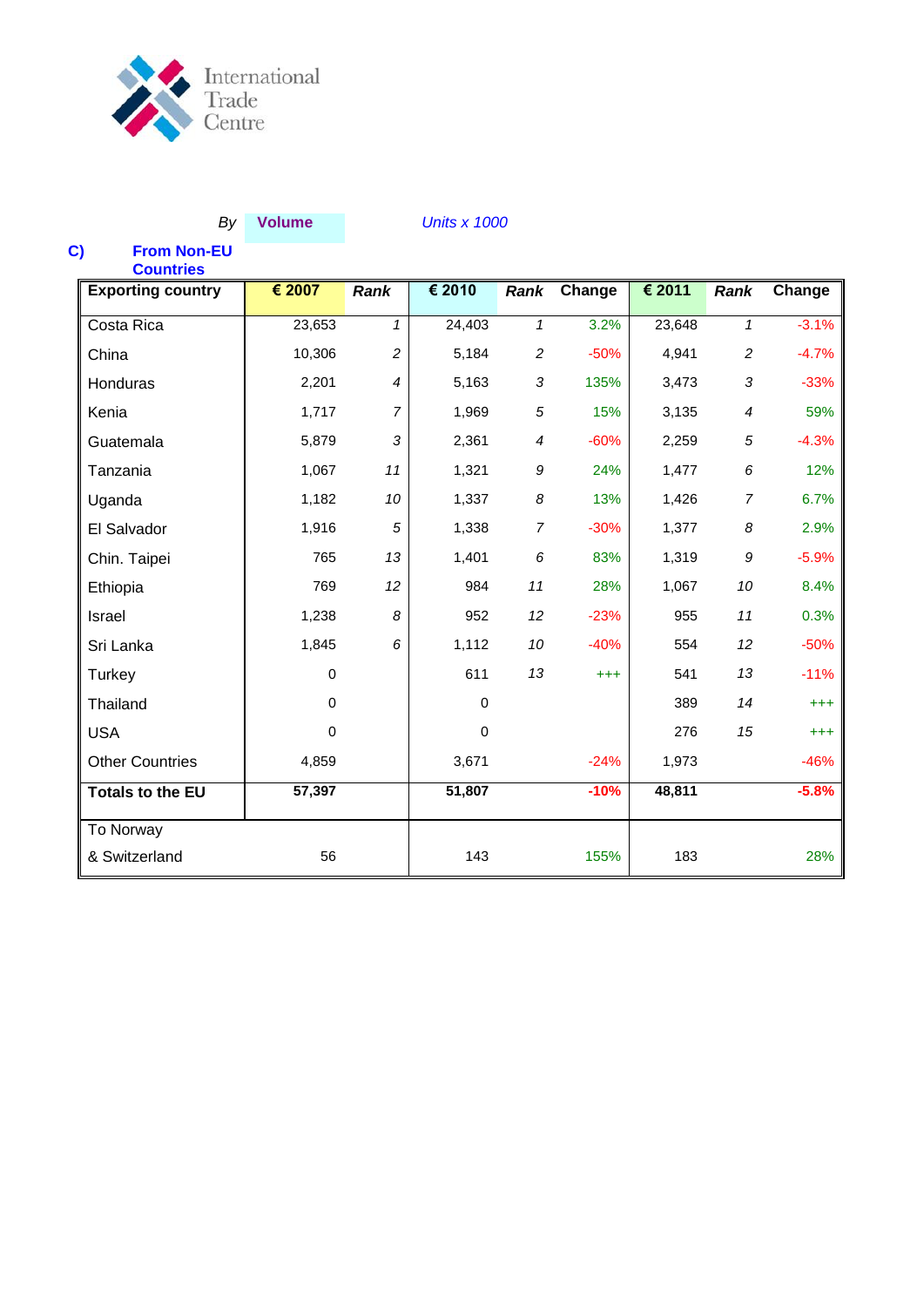

## *By* **Volume** *Units x 1000*

# **C) From Non-EU**

| <b>Countries</b>         |             |                |             |                |          |        |                  |          |
|--------------------------|-------------|----------------|-------------|----------------|----------|--------|------------------|----------|
| <b>Exporting country</b> | € 2007      | <b>Rank</b>    | € 2010      | Rank           | Change   | € 2011 | Rank             | Change   |
| Costa Rica               | 23,653      | $\mathbf{1}$   | 24,403      | $\mathcal I$   | 3.2%     | 23,648 | $\mathcal I$     | $-3.1%$  |
| China                    | 10,306      | $\overline{c}$ | 5,184       | $\overline{c}$ | $-50%$   | 4,941  | $\overline{c}$   | $-4.7%$  |
| Honduras                 | 2,201       | 4              | 5,163       | 3              | 135%     | 3,473  | 3                | $-33%$   |
| Kenia                    | 1,717       | $\overline{7}$ | 1,969       | 5              | 15%      | 3,135  | $\boldsymbol{4}$ | 59%      |
| Guatemala                | 5,879       | 3              | 2,361       | 4              | $-60%$   | 2,259  | 5                | $-4.3%$  |
| Tanzania                 | 1,067       | 11             | 1,321       | 9              | 24%      | 1,477  | 6                | 12%      |
| Uganda                   | 1,182       | 10             | 1,337       | 8              | 13%      | 1,426  | $\overline{7}$   | 6.7%     |
| El Salvador              | 1,916       | 5              | 1,338       | $\overline{7}$ | $-30%$   | 1,377  | 8                | 2.9%     |
| Chin. Taipei             | 765         | 13             | 1,401       | 6              | 83%      | 1,319  | 9                | $-5.9%$  |
| Ethiopia                 | 769         | 12             | 984         | 11             | 28%      | 1,067  | 10               | 8.4%     |
| Israel                   | 1,238       | 8              | 952         | 12             | $-23%$   | 955    | 11               | 0.3%     |
| Sri Lanka                | 1,845       | 6              | 1,112       | 10             | $-40%$   | 554    | 12               | $-50%$   |
| Turkey                   | $\pmb{0}$   |                | 611         | 13             | $^{+++}$ | 541    | 13               | $-11%$   |
| Thailand                 | $\Omega$    |                | $\mathbf 0$ |                |          | 389    | 14               | $^{+++}$ |
| <b>USA</b>               | $\mathbf 0$ |                | $\mathbf 0$ |                |          | 276    | 15               | $^{+++}$ |
| <b>Other Countries</b>   | 4,859       |                | 3,671       |                | $-24%$   | 1,973  |                  | $-46%$   |
| <b>Totals to the EU</b>  | 57,397      |                | 51,807      |                | $-10%$   | 48,811 |                  | $-5.8%$  |
| To Norway                |             |                |             |                |          |        |                  |          |
| & Switzerland            | 56          |                | 143         |                | 155%     | 183    |                  | 28%      |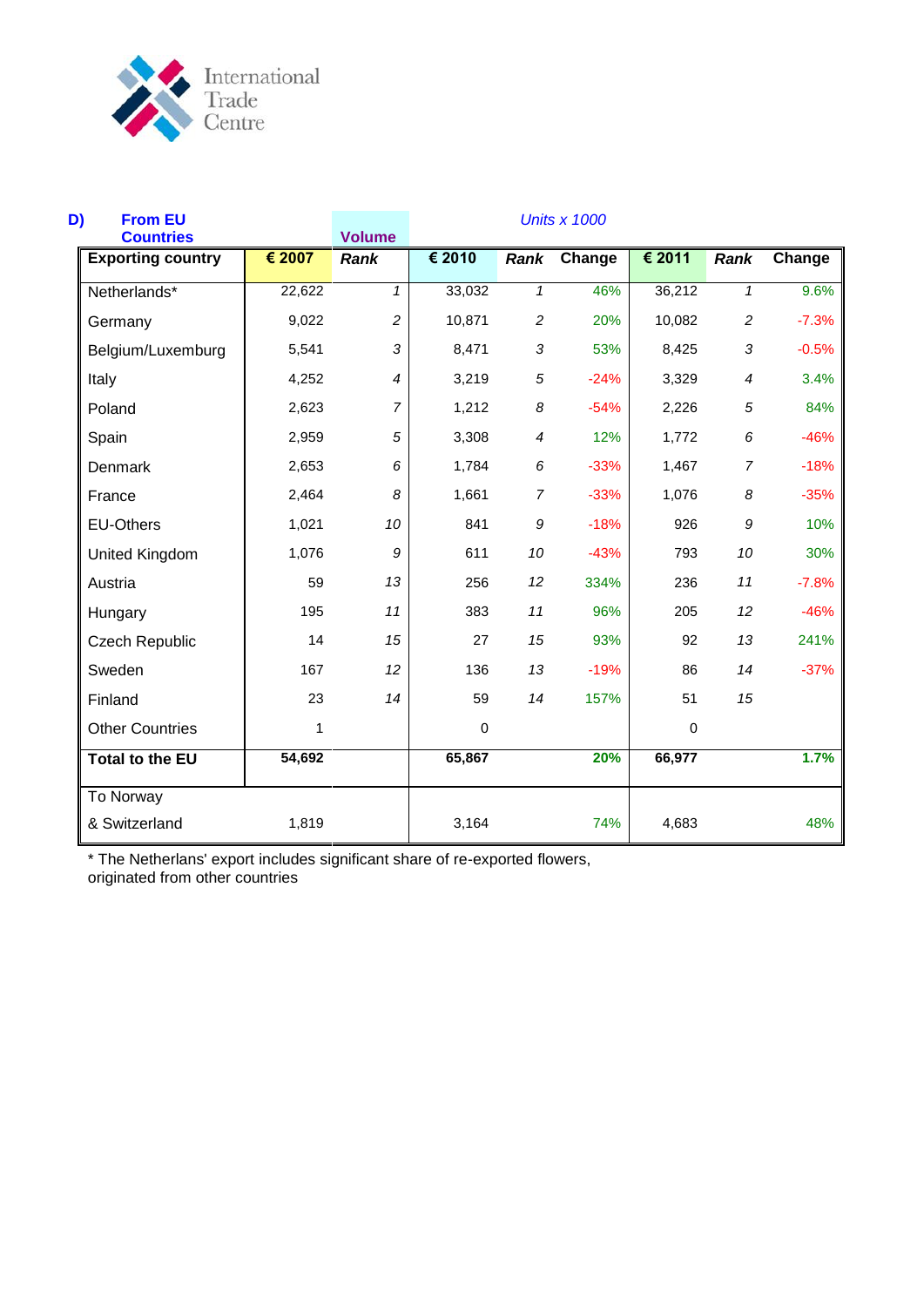

| D)<br><b>From EU</b><br><b>Countries</b> |        | <b>Volume</b>  |        |                | <b>Units x 1000</b> |           |                  |         |
|------------------------------------------|--------|----------------|--------|----------------|---------------------|-----------|------------------|---------|
| <b>Exporting country</b>                 | € 2007 | <b>Rank</b>    | € 2010 | <b>Rank</b>    | Change              | € 2011    | Rank             | Change  |
| Netherlands*                             | 22,622 | $\mathbf{1}$   | 33,032 | $\mathbf{1}$   | 46%                 | 36,212    | $\mathbf{1}$     | 9.6%    |
| Germany                                  | 9,022  | $\overline{c}$ | 10,871 | $\overline{c}$ | 20%                 | 10,082    | $\overline{c}$   | $-7.3%$ |
| Belgium/Luxemburg                        | 5,541  | $\sqrt{3}$     | 8,471  | $\mathfrak{Z}$ | 53%                 | 8,425     | 3                | $-0.5%$ |
| Italy                                    | 4,252  | 4              | 3,219  | 5              | $-24%$              | 3,329     | 4                | 3.4%    |
| Poland                                   | 2,623  | $\overline{7}$ | 1,212  | 8              | $-54%$              | 2,226     | $\sqrt{5}$       | 84%     |
| Spain                                    | 2,959  | 5              | 3,308  | 4              | 12%                 | 1,772     | 6                | $-46%$  |
| Denmark                                  | 2,653  | 6              | 1,784  | 6              | $-33%$              | 1,467     | $\overline{7}$   | $-18%$  |
| France                                   | 2,464  | 8              | 1,661  | $\overline{7}$ | $-33%$              | 1,076     | 8                | $-35%$  |
| <b>EU-Others</b>                         | 1,021  | 10             | 841    | 9              | $-18%$              | 926       | $\boldsymbol{g}$ | 10%     |
| United Kingdom                           | 1,076  | 9              | 611    | 10             | $-43%$              | 793       | 10               | 30%     |
| Austria                                  | 59     | 13             | 256    | 12             | 334%                | 236       | 11               | $-7.8%$ |
| Hungary                                  | 195    | 11             | 383    | 11             | 96%                 | 205       | 12               | $-46%$  |
| <b>Czech Republic</b>                    | 14     | 15             | 27     | 15             | 93%                 | 92        | 13               | 241%    |
| Sweden                                   | 167    | 12             | 136    | 13             | $-19%$              | 86        | 14               | $-37%$  |
| Finland                                  | 23     | 14             | 59     | 14             | 157%                | 51        | 15               |         |
| <b>Other Countries</b>                   | 1      |                | 0      |                |                     | $\pmb{0}$ |                  |         |
| <b>Total to the EU</b>                   | 54,692 |                | 65,867 |                | 20%                 | 66,977    |                  | 1.7%    |
| To Norway                                |        |                |        |                |                     |           |                  |         |
| & Switzerland                            | 1,819  |                | 3,164  |                | 74%                 | 4,683     |                  | 48%     |

\* The Netherlans' export includes significant share of re-exported flowers, originated from other countries